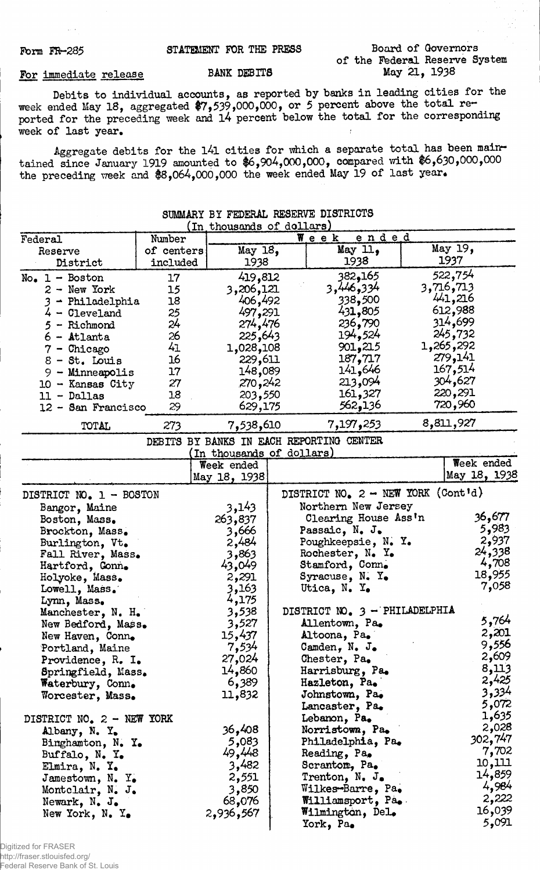# Form FR-285 STATEMENT FOR THE PRESS Board of Governors of the Federal Reserve System<br>May 21, 1938

# For immediate release BANK DEBITS

Debits to individual accounts, as reported by banks in leading cities for the week ended May 18, aggregated  $\frac{67}{539}$ ,000,000, or 5 percent above the total reported for the preceding week and l4 percent below the total for the corresponding week of last year.

Aggregate debits for the 141 cities for which a separate total has been maintained since January 1919 amounted to \$6,904,000,000, compared with \$6,630,000,000 the preceding week and \$8,064,000,000 the week ended May 19 of last year.

| SUMMARY BY FEDERAL RESERVE DISTRICTS |                        |                            |  |                                          |           |              |  |  |
|--------------------------------------|------------------------|----------------------------|--|------------------------------------------|-----------|--------------|--|--|
| (In thousands of dollars)            |                        |                            |  |                                          |           |              |  |  |
| Federal                              | Number                 |                            |  | ended<br>Week                            | May 19,   |              |  |  |
| Reserve<br>District                  | of centers<br>included | May $18,$<br>1938          |  | May 11,<br>1938                          | 1937      |              |  |  |
|                                      |                        |                            |  | 382,165                                  | 522,754   |              |  |  |
| $No_{\bullet}$ 1 - Boston            | 17                     | 419,812                    |  | 3,446,334                                | 3,716,713 |              |  |  |
| $2 - New York$                       | 15<br>18               | 3,206,121                  |  | 338,500                                  | 441,216   |              |  |  |
| 3 - Philadelphia<br>$4 -$ Cleveland  | 25                     | 406,492<br>497,291         |  | 431,805                                  | 612,988   |              |  |  |
| - Richmond                           | 24                     | 274,476                    |  | 236,790                                  | 314,699   |              |  |  |
| - Atlanta                            | 26                     | 225,643                    |  | 194,524                                  |           | 245,732      |  |  |
|                                      | 41                     | 1,028,108                  |  | 901,215                                  | 1,265,292 |              |  |  |
| $7$ - Chicago<br>$8 - St.$ Louis     | 16                     | 229,611                    |  | 187,717                                  | 279,141   |              |  |  |
|                                      | 17                     | 148,089                    |  | 141,646                                  | 167,514   |              |  |  |
| 9 - Minneapolis                      | 27                     | 270,242                    |  | 213,094                                  |           | 304,627      |  |  |
| $10 -$ Kansas City                   | 18                     | 203,550                    |  | 161,327                                  |           | 220,291      |  |  |
| $11 - Dallas$<br>12 - San Francisco  | 29                     | 629,175                    |  | 562,136                                  |           | 720,960      |  |  |
|                                      |                        |                            |  |                                          |           |              |  |  |
| TOTAL                                | 273                    | 7,538,610                  |  | 7,197,253                                | 8,811,927 |              |  |  |
|                                      |                        |                            |  | DEBITS BY BANKS IN EACH REPORTING CENTER |           |              |  |  |
|                                      |                        | (In thousands of dollars)  |  |                                          |           | Week ended   |  |  |
|                                      |                        | Week ended<br>May 18, 1938 |  |                                          |           | May 18, 1938 |  |  |
|                                      |                        |                            |  | DISTRICT NO. 2 - NEW YORK (Cont'd)       |           |              |  |  |
| DISTRICT NO. 1 - BOSTON              |                        |                            |  |                                          |           |              |  |  |
| Bangor, Maine                        |                        | 3,143                      |  | Northern New Jersey                      |           | 36,677       |  |  |
| Boston, Mass.                        |                        | 263,837                    |  | Clearing House Ass'n                     |           | 5,983        |  |  |
| Brockton, Mass.                      |                        | 3,666                      |  | Passaic, N. J.                           |           | 2,937        |  |  |
| Burlington, Vt.                      |                        | 2,484                      |  | Poughkeepsie, N. Y.                      |           | 24,338       |  |  |
| Fall River, Mass.                    |                        | 3,863                      |  | Rochester, N. Y.                         |           | 4,708        |  |  |
| Hartford, Conn.                      |                        | 43,049                     |  | Stamford, Conn.                          |           | 18,955       |  |  |
| Holyoke, Mass.                       |                        | 2,291                      |  | Syracuse, $N - X$ .                      |           | 7,058        |  |  |
| Lowell, Mass.                        |                        | 3,163                      |  | Utica, N. Y.                             |           |              |  |  |
| Lynn, Mass.                          |                        | 4,175                      |  | DISTRICT NO. 3 - PHILADELPHIA            |           |              |  |  |
| Manchester, N. H.                    |                        | 3,538                      |  | Allentown, Pa.                           |           | 5,764        |  |  |
| New Bedford, Mass.                   |                        | 3,527                      |  | Altoona, Pa.                             |           | 2,201        |  |  |
| New Haven, Conn.                     |                        | 15,437                     |  |                                          |           | 9,556        |  |  |
| Portland, Maine                      |                        | 7,534<br>27,024            |  | Camden, N. J.<br>Chester, Pa.            |           | 2,609        |  |  |
| Providence, R. I.                    |                        | 14,860                     |  | Harrisburg, Pa.                          |           | 8,113        |  |  |
| Springfield, Mass.                   |                        | 6,389                      |  | Hazleton, Pa.                            |           | 2,425        |  |  |
| Waterbury, Conn.                     |                        | 11,832                     |  | Johnstown, Pa.                           |           | 3,334        |  |  |
| Worcester, Mass.                     |                        |                            |  | Lancaster, Pa.                           |           | 5,072        |  |  |
|                                      |                        |                            |  | Lebanon, Pa.                             |           | 1,635        |  |  |
| DISTRICT NO. 2 - NEW YORK            |                        | 36,408                     |  | Norristown, Pa.                          |           | 2,028        |  |  |
| Albany, N. Y.                        |                        | 5,083                      |  | Philadelphia, Pa.                        |           | 302,747      |  |  |
| Binghamton, N. Y.                    |                        | 49,448                     |  | Reading, Pa.                             |           | 7,702        |  |  |
| Buffalo, N. Y.                       |                        | 3,482                      |  | Scrantom, Pa.                            |           | 10,111       |  |  |
| Elmira, N. Y.                        |                        | 2,551                      |  | Trenton, N. J.                           |           | 14,859       |  |  |
| Jamestown, $N_e$ . $Y_e$             |                        | 3,850                      |  | Wilkes-Barre, Pa.                        |           | 4,984        |  |  |
| Montclair, N. J.                     |                        | 68,076                     |  | Williamsport, Pa.                        |           | 2,222        |  |  |
| Newark, N. J.<br>New York, N. Y.     |                        | 2,936,567                  |  | Wilmington, Del.                         |           | 16,039       |  |  |
|                                      |                        |                            |  | York, Pa.                                |           | 5,091        |  |  |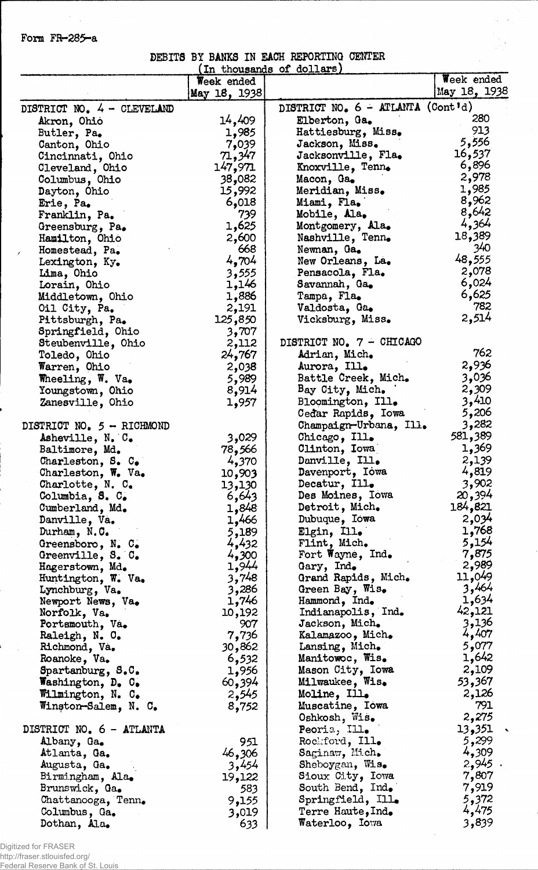## Form FR-285-a

### DEBITS BY BANKS IN EACH REPORTING CENTER (In thousands of dollars)\_\_\_\_\_\_

 $\tau_{0}=\delta$ 

|                                       | Week ended        | THE GHORDSHIRD OF COTTERED                 | Week ended     |
|---------------------------------------|-------------------|--------------------------------------------|----------------|
|                                       | May 18, 1938      |                                            | May 18, 1938   |
|                                       |                   | DISTRICT NO. 6 - ATLANTA (Cont'd)          |                |
| DISTRICT NO. 4 - CLEVELAND            |                   |                                            | 280            |
| Akron, Ohio                           | 14,409            | Elberton, Ga.                              | 913            |
| Butler, Pa.                           | 1,985             | Hattiesburg, Miss.                         | 5,556          |
| Canton, Ohio                          | 7,039             | Jackson, Miss.<br>Jacksonville, Fla.       | 16,537         |
| Cincinnati, Ohio                      | 71,347<br>147,971 |                                            | 6,896          |
| Cleveland, Ohio                       | 082و38            | Knoxville, Tenn.                           | 2,978          |
| Columbus, Ohio                        | 15,992            | Macon, Ga.<br>Meridian, Miss.              | 1,985          |
| Dayton, Ohio                          | 6,018             | Miami, Fla.                                | 8,962          |
| Erie, Pa.                             | 739               | Mobile, Ala.                               | 8,642          |
| Franklin, Pa.<br>Greensburg, Pa.      | 1,625             | Montgomery, Ala.                           | 4,364          |
| Hamilton, Ohio                        | 2,600             | Nashville, Tenn.                           | 18,389         |
| Homestead, Pa.                        | 668               | Newnan, Ga.                                | 340            |
| Lexington, Ky.                        | 4,704             | New Orleans, La.                           | 48,555         |
| Lima, Ohio                            | 3,555             | Pensacola, Fla.                            | 2,078          |
| Lorain, Ohio                          | 1,146             | Savannah, Ga.                              | 6,024          |
| Middletown, Ohio                      | 1,886             | Tampa, Fla.                                | 6,625          |
| Oil City, Pa.                         | 2,191             | <b>Valdosta, Ga.</b>                       | 782            |
| Pittsburgh, Pa.                       | 125,850           | Vicksburg, Miss.                           | 2,514          |
| Springfield, Ohio                     | 3,707             |                                            |                |
| Steubenville, Ohio                    | 2,112             | DISTRICT NO. 7 - CHICAGO                   |                |
| Toledo, Ohio                          | 24,767            | Adrian, Mich.                              | 762            |
| Warren, Ohio                          | 2,038             | Aurora, Ill.                               | 2,936          |
| Wheeling, W. Va.                      | 5,989             | Battle Creek, Mich.                        | 3,036          |
| Youngstown, Ohio                      | 8,914             | Bay City, Mich.                            | 2,309          |
| Zanesville, Ohio                      | 1,957             | Bloomington, Ill.                          | 3,410          |
|                                       |                   | Cedar Rapids, Iowa                         | 5,206          |
| DISTRICT NO. $5 - RICHMOND$           |                   | Champaign-Urbana, Ill.                     | 3,282          |
| Asheville, N. C.                      | 3,029             | Chicago, Ill.                              | 581,389        |
| Baltimore, Md.                        | 78,566            | Clinton, Iowa                              | 1,369          |
| Charleston, S. C.                     | 4,370             | Danville, Ill.                             | 2,139          |
| Charleston, W. Va.                    | 10,903            | Davenport, Iowa                            | 4,819          |
| Charlotte, N. C.                      | 13,130            | Decatur, Ill.                              | 3,902          |
| Columbia, S. C.                       | 6,643             | Des Moines, Iowa                           | 20,394         |
| Cumberland, Md.                       | 1,848             | Detroit, Mich.                             | 184,821        |
| Danville, Va.                         | 1,466             | Dubuque, Iowa                              | 2,034          |
| Durham, N.C.                          | 5,189             | Elgin, Ill.                                | 1,768<br>5,154 |
| Greensboro, N. C.                     | 4,432             | Flint, Mich.<br>Fort Wayne, Ind.           | 7,875          |
| Greenville, S. C.                     | 4,300<br>1,944    | Gary, Ind.                                 | 2,989          |
| Hagerstown, Md.<br>Huntington, W. Va. | 3,748             | Grand Rapids, Mich.                        | 11,049         |
| Lynchburg, Va.                        | 3,286             | Green Bay, Wis.                            | 3,464          |
| Newport News, Va.                     | 1,746             | Hammond, Ind.                              | 1,634          |
| Norfolk, Va.                          | 10,192            | Indianapolis, Ind.                         | 42,121         |
| Portsmouth, Va.                       | 907               | Jackson, Mich.                             | 3,136          |
| Raleigh, N. O.                        | 7,736             | Kalamazoo, Mich.                           | 4,407          |
| Richmond, Va.                         | 30,862            | Lansing, Mich.                             | 5,077          |
| Roanoke, Va.                          | 6,532             | Manitowoc, Wis.                            | 1,642          |
| Spartanburg, S.C.                     | 1,956             | Mason City, Iowa                           | 2,109          |
| Washington, D. C.                     | 60,394            | Milwaukee, Wis.                            | 53,367         |
| Wilmington, N. C.                     | 2,545             | Moline, Ill.                               | 2,126          |
| Winston-Salem, N. C.                  | 8,752             | Muscatine, Iowa                            | 791            |
|                                       |                   | Oshkosh, Wis.                              | 2,275          |
| DISTRICT NO. 6 - ATLANTA              |                   | Peoria, Ill.                               | 13,351         |
| Albany, Ga.                           | 951               | Rockford, Ill.                             | 5,299          |
| Atlanta, Ga.                          | 46,306            | Saginaw, Mich.                             | 4,309          |
| Augusta, Ga.                          | 3,454             | Sheboygan, Wis.                            | 2,945.         |
| Birmingham, Ala.                      | 19,122            | Sioux City, Iowa                           | 7,807          |
| Brunswick, Ga.                        | 583               | South Bend, Ind.                           | 7,919          |
| Chattanooga, Tenn.                    | 9,155             | Springfield, Ill.                          | 5,372<br>4,475 |
| Columbus, Ga.                         | 3,019             | Terre Haute, Ind.<br><b>Waterloo, Iowa</b> | 3,839          |
| Dothan, Ala.                          | 633               |                                            |                |

Digitized for FRASER http://fraser.stlouisfed.org/ Federal Reserve Bank of St. Louis